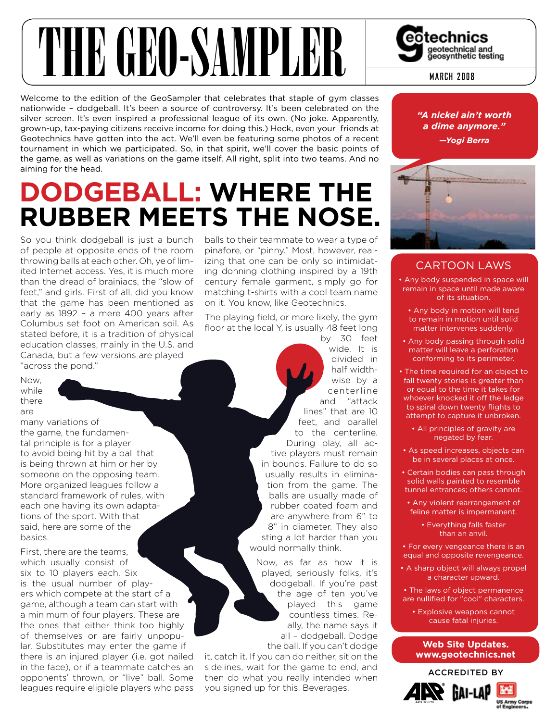# THE GEORG SAMPLER Correctinical and

Welcome to the edition of the GeoSampler that celebrates that staple of gym classes nationwide – dodgeball. It's been a source of controversy. It's been celebrated on the silver screen. It's even inspired a professional league of its own. (No joke. Apparently, grown-up, tax-paying citizens receive income for doing this.) Heck, even your friends at Geotechnics have gotten into the act. We'll even be featuring some photos of a recent tournament in which we participated. So, in that spirit, we'll cover the basic points of the game, as well as variations on the game itself. All right, split into two teams. And no aiming for the head.

## **dodgeball: Where the rUbber meetS the noSe.**

So you think dodgeball is just a bunch of people at opposite ends of the room throwing balls at each other. Oh, ye of limited Internet access. Yes, it is much more than the dread of brainiacs, the "slow of feet," and girls. First of all, did you know that the game has been mentioned as early as 1892 – a mere 400 years after Columbus set foot on American soil. As stated before, it is a tradition of physical education classes, mainly in the U.S. and Canada, but a few versions are played "across the pond."

Now, while there are

many variations of the game, the fundamental principle is for a player to avoid being hit by a ball that is being thrown at him or her by someone on the opposing team. More organized leagues follow a standard framework of rules, with each one having its own adaptations of the sport. With that said, here are some of the basics.

First, there are the teams, which usually consist of six to 10 players each. Six is the usual number of players which compete at the start of a game, although a team can start with a minimum of four players. These are the ones that either think too highly of themselves or are fairly unpopular. Substitutes may enter the game if there is an injured player (i.e. got nailed in the face), or if a teammate catches an opponents' thrown, or "live" ball. Some leagues require eligible players who pass

balls to their teammate to wear a type of pinafore, or "pinny." Most, however, realizing that one can be only so intimidating donning clothing inspired by a 19th century female garment, simply go for matching t-shirts with a cool team name on it. You know, like Geotechnics.

The playing field, or more likely, the gym floor at the local Y, is usually 48 feet long by 30 feet

wide. It is divided in half widthwise by a centerline and "attack lines" that are 10 feet, and parallel to the centerline. During play, all active players must remain in bounds. Failure to do so usually results in elimination from the game. The balls are usually made of rubber coated foam and are anywhere from 6" to 8" in diameter. They also sting a lot harder than you would normally think.

Now, as far as how it is played, seriously folks, it's dodgeball. If you're past the age of ten you've played this game countless times. Really, the name says it all – dodgeball. Dodge the ball. If you can't dodge

it, catch it. If you can do neither, sit on the sidelines, wait for the game to end, and then do what you really intended when you signed up for this. Beverages.

*"A nickel ain't worth a dime anymore." —Yogi Berra*



### CArtooN LAWS

• Any body suspended in space will remain in space until made aware of its situation.

- Any body in motion will tend to remain in motion until solid matter intervenes suddenly.
- Any body passing through solid matter will leave a perforation conforming to its perimeter.
- The time required for an object to fall twenty stories is greater than or equal to the time it takes for whoever knocked it off the ledge to spiral down twenty flights to attempt to capture it unbroken.
	- All principles of gravity are negated by fear.
- As speed increases, objects can be in several places at once.
- Certain bodies can pass through solid walls painted to resemble tunnel entrances; others cannot.
- Any violent rearrangement of feline matter is impermanent.
	- Everything falls faster than an anvil.
- For every vengeance there is an equal and opposite revengeance.
- A sharp object will always propel a character upward.
- The laws of object permanence are nullified for "cool" characters.
- Explosive weapons cannot cause fatal injuries.

#### **Web Site Updates. www.geotechnics.net**